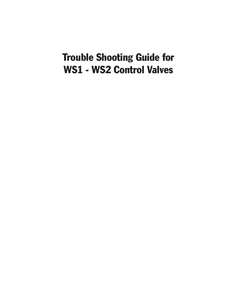## Trouble Shooting Guide for WS1 - WS2 Control Valves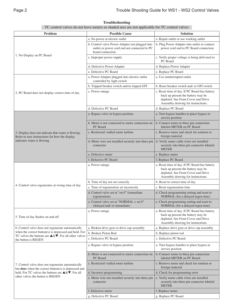| TC control valves do not have meters so shaded area are not applicable for TC control valves                                                                                                               |                                                                                                                     |                                                                                                                                                                  |  |  |
|------------------------------------------------------------------------------------------------------------------------------------------------------------------------------------------------------------|---------------------------------------------------------------------------------------------------------------------|------------------------------------------------------------------------------------------------------------------------------------------------------------------|--|--|
| Problem                                                                                                                                                                                                    | <b>Possible Cause</b>                                                                                               | <b>Solution</b>                                                                                                                                                  |  |  |
|                                                                                                                                                                                                            | a. No power at electric outlet                                                                                      | a. Repair outlet or use working outlet                                                                                                                           |  |  |
|                                                                                                                                                                                                            | b. Control valve Power Adapter not plugged into<br>outlet or power cord end not connected to PC<br>board connection | b. Plug Power Adapter into outlet or connect<br>power cord end to PC Board connection                                                                            |  |  |
| 1. No Display on PC Board                                                                                                                                                                                  | c. Improper power supply                                                                                            | c. Verify proper voltage is being delivered to<br>PC Board                                                                                                       |  |  |
|                                                                                                                                                                                                            | d. Defective Power Adapter                                                                                          | d. Replace Power Adapter                                                                                                                                         |  |  |
|                                                                                                                                                                                                            | e. Defective PC Board                                                                                               | e. Replace PC Board                                                                                                                                              |  |  |
|                                                                                                                                                                                                            | a. Power Adapter plugged into electric outlet<br>controlled by light switch                                         | a. Use uninterrupted outlet                                                                                                                                      |  |  |
|                                                                                                                                                                                                            | b. Tripped breaker switch and/or tripped GFI                                                                        | b. Reset breaker switch and/ or GFI switch                                                                                                                       |  |  |
| 2. PC Board does not display correct time of day                                                                                                                                                           | c. Power outage                                                                                                     | c. Reset time of day. If PC Board has battery<br>back up present the battery may be<br>depleted. See Front Cover and Drive<br>Assembly drawing for instructions. |  |  |
|                                                                                                                                                                                                            | d. Defective PC Board                                                                                               | d. Replace PC Board                                                                                                                                              |  |  |
|                                                                                                                                                                                                            | a. Bypass valve in bypass position                                                                                  | a. Turn bypass handles to place bypass in<br>service position                                                                                                    |  |  |
|                                                                                                                                                                                                            | b. Meter is not connected to meter connection on<br>PC Board                                                        | b. Connect meter to three pin connection<br>labeled METER on PC Board                                                                                            |  |  |
| 3. Display does not indicate that water is flowing.<br>Refer to user instructions for how the display                                                                                                      | c. Restricted/stalled meter turbine                                                                                 | c. Remove meter and check for rotation or<br>foreign material                                                                                                    |  |  |
| indicates water is flowing                                                                                                                                                                                 | d. Meter wire not installed securely into three pin<br>connector                                                    | d. Verify meter cable wires are installed<br>securely into three pin connector labeled<br><b>METER</b>                                                           |  |  |
|                                                                                                                                                                                                            | e. Defective meter                                                                                                  | e. Replace meter                                                                                                                                                 |  |  |
|                                                                                                                                                                                                            | f. Defective PC Board                                                                                               | f. Replace PC Board                                                                                                                                              |  |  |
|                                                                                                                                                                                                            | a. Power outage                                                                                                     | a. Reset time of day. If PC Board has battery<br>back up present the battery may be<br>depleted. See Front Cover and Drive<br>Assembly drawing for instructions. |  |  |
|                                                                                                                                                                                                            | b. Time of day not set correctly                                                                                    | b. Reset to correct time of day                                                                                                                                  |  |  |
| 4. Control valve regenerates at wrong time of day                                                                                                                                                          | c. Time of regeneration set incorrectly                                                                             | c. Reset regeneration time                                                                                                                                       |  |  |
|                                                                                                                                                                                                            | d. Control valve set at "on 0" (immediate<br>regeneration)                                                          | d. Check programming setting and reset to<br>NORMAL (for a delayed regen time)                                                                                   |  |  |
|                                                                                                                                                                                                            | e. Control valve set at "NORMAL + on 0"<br>(delayed and/ or immediate)                                              | e. Check programming setting and reset to<br>NORMAL (for a delayed regen time)                                                                                   |  |  |
| 5. Time of day flashes on and off                                                                                                                                                                          | a. Power outage                                                                                                     | a. Reset time of day. If PC Board has battery<br>back up present the battery may be<br>depleted. See Front Cover and Drive<br>Assembly drawing for instructions. |  |  |
| 6. Control valve does not regenerate automatically                                                                                                                                                         | a. Broken drive gear or drive cap assembly                                                                          | a. Replace drive gear or drive cap assembly                                                                                                                      |  |  |
| when the correct button(s) is depressed and held. For                                                                                                                                                      | b. Broken Piston Rod                                                                                                | b. Replace piston rod                                                                                                                                            |  |  |
| TC valves the buttons are $\triangle \& \blacktriangledown$ . For all other valves<br>the button is REGEN                                                                                                  | c. Defective PC Board                                                                                               | c. Defective PC Board                                                                                                                                            |  |  |
| 7. Control valve does not regenerate automatically<br>but does when the correct button(s) is depressed and<br>held. For TC valves the buttons are <b>△</b> &▼. For all<br>other valves the button is REGEN | a. Bypass valve in bypass position                                                                                  | a. Turn bypass handles to place bypass in<br>service position                                                                                                    |  |  |
|                                                                                                                                                                                                            | b. Meter is not connected to meter connection on<br>PC Board                                                        | b. Connect meter to three pin connection<br>labeled METER on PC Board                                                                                            |  |  |
|                                                                                                                                                                                                            | c. Restricted/ stalled meter turbine                                                                                | c. Remove meter and check for rotation or<br>foreign material                                                                                                    |  |  |
|                                                                                                                                                                                                            | d. Incorrect programming                                                                                            | d. Check for programming error                                                                                                                                   |  |  |
|                                                                                                                                                                                                            | e. Meter wire not installed securely into three pin<br>connector                                                    | e. Verify meter cable wires are installed<br>securely into three pin connector labeled<br><b>METER</b>                                                           |  |  |
|                                                                                                                                                                                                            | f. Defective meter                                                                                                  | f. Replace meter                                                                                                                                                 |  |  |
|                                                                                                                                                                                                            | g. Defective PC Board                                                                                               | g. Replace PC Board                                                                                                                                              |  |  |

## **Troubleshooting**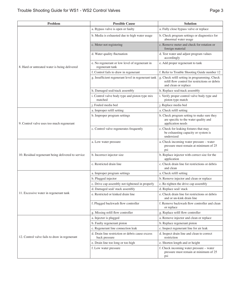| a. Bypass valve is open or faulty<br>a. Fully close bypass valve or replace<br>b. Media is exhausted due to high water usage<br>b. Check program settings or diagnostics for<br>abnormal water usage<br>c. Remove meter and check for rotation or<br>c. Meter not registering<br>foreign material<br>d. Water quality fluctuation<br>d. Test water and adjust program values<br>accordingly<br>e. No regenerant or low level of regenerant in<br>e. Add proper regenerant to tank<br>8. Hard or untreated water is being delivered<br>regenerant tank<br>f. Control fails to draw in regenerant<br>f. Refer to Trouble Shooting Guide number 12<br>g. Insufficient regenerant level in regenerant tank<br>g. Check refill setting in programming. Check<br>refill flow control for restrictions or debris<br>and clean or replace<br>h. Damaged seal/stack assembly<br>h. Replace seal/stack assembly<br>i. Control valve body type and piston type mix<br>i. Verify proper control valve body type and<br>matched<br>piston type match<br>j. Replace media bed<br>j. Fouled media bed<br>a. Improper refill setting<br>a. Check refill setting<br>b. Check program setting to make sure they<br>b. Improper program settings<br>are specific to the water quality and<br>application needs<br>9. Control valve uses too much regenerant<br>c. Check for leaking fixtures that may<br>c. Control valve regenerates frequently<br>be exhausting capacity or system is<br>undersized<br>a. Check incoming water pressure - water<br>a. Low water pressure<br>pressure must remain at minimum of 25<br>psi<br>b. Incorrect injector size<br>b. Replace injector with correct size for the<br>10. Residual regenerant being delivered to service<br>application<br>c. Check drain line for restrictions or debris<br>c. Restricted drain line<br>and clean<br>a. Improper program settings<br>a. Check refill setting<br>b. Plugged injector<br>b. Remove injector and clean or replace<br>c. Drive cap assembly not tightened in properly<br>c. Re-tighten the drive cap assembly<br>d. Damaged seal/stack assembly<br>d. Replace seal/stack<br>11. Excessive water in regenerant tank<br>e. Restricted or kinked drain line<br>e. Check drain line for restrictions or debris<br>and or un-kink drain line<br>f. Remove backwash flow controller and clean<br>f. Plugged backwash flow controller<br>or replace<br>g. Replace refill flow controller<br>g. Missing refill flow controller<br>a. Remove injector and clean or replace<br>a. Injector is plugged<br>b. Faulty regenerant piston<br>b. Replace regenerant piston<br>c. Regenerant line connection leak<br>c. Inspect regenerant line for air leak<br>d. Drain line restriction or debris cause excess<br>d. Inspect drain line and clean to correct<br>12. Control valve fails to draw in regenerant<br>restriction<br>back pressure<br>e. Drain line too long or too high<br>e. Shorten length and or height<br>f. Check incoming water pressure - water<br>f. Low water pressure<br>pressure must remain at minimum of 25<br>psi | <b>Problem</b> | <b>Possible Cause</b> | <b>Solution</b> |
|-----------------------------------------------------------------------------------------------------------------------------------------------------------------------------------------------------------------------------------------------------------------------------------------------------------------------------------------------------------------------------------------------------------------------------------------------------------------------------------------------------------------------------------------------------------------------------------------------------------------------------------------------------------------------------------------------------------------------------------------------------------------------------------------------------------------------------------------------------------------------------------------------------------------------------------------------------------------------------------------------------------------------------------------------------------------------------------------------------------------------------------------------------------------------------------------------------------------------------------------------------------------------------------------------------------------------------------------------------------------------------------------------------------------------------------------------------------------------------------------------------------------------------------------------------------------------------------------------------------------------------------------------------------------------------------------------------------------------------------------------------------------------------------------------------------------------------------------------------------------------------------------------------------------------------------------------------------------------------------------------------------------------------------------------------------------------------------------------------------------------------------------------------------------------------------------------------------------------------------------------------------------------------------------------------------------------------------------------------------------------------------------------------------------------------------------------------------------------------------------------------------------------------------------------------------------------------------------------------------------------------------------------------------------------------------------------------------------------------------------------------------------------------------------------------------------------------------------------------------------------------------------------------------------------------------------------------------------------------------------------------------------------------------------------------------------------------------------------|----------------|-----------------------|-----------------|
|                                                                                                                                                                                                                                                                                                                                                                                                                                                                                                                                                                                                                                                                                                                                                                                                                                                                                                                                                                                                                                                                                                                                                                                                                                                                                                                                                                                                                                                                                                                                                                                                                                                                                                                                                                                                                                                                                                                                                                                                                                                                                                                                                                                                                                                                                                                                                                                                                                                                                                                                                                                                                                                                                                                                                                                                                                                                                                                                                                                                                                                                                               |                |                       |                 |
|                                                                                                                                                                                                                                                                                                                                                                                                                                                                                                                                                                                                                                                                                                                                                                                                                                                                                                                                                                                                                                                                                                                                                                                                                                                                                                                                                                                                                                                                                                                                                                                                                                                                                                                                                                                                                                                                                                                                                                                                                                                                                                                                                                                                                                                                                                                                                                                                                                                                                                                                                                                                                                                                                                                                                                                                                                                                                                                                                                                                                                                                                               |                |                       |                 |
|                                                                                                                                                                                                                                                                                                                                                                                                                                                                                                                                                                                                                                                                                                                                                                                                                                                                                                                                                                                                                                                                                                                                                                                                                                                                                                                                                                                                                                                                                                                                                                                                                                                                                                                                                                                                                                                                                                                                                                                                                                                                                                                                                                                                                                                                                                                                                                                                                                                                                                                                                                                                                                                                                                                                                                                                                                                                                                                                                                                                                                                                                               |                |                       |                 |
|                                                                                                                                                                                                                                                                                                                                                                                                                                                                                                                                                                                                                                                                                                                                                                                                                                                                                                                                                                                                                                                                                                                                                                                                                                                                                                                                                                                                                                                                                                                                                                                                                                                                                                                                                                                                                                                                                                                                                                                                                                                                                                                                                                                                                                                                                                                                                                                                                                                                                                                                                                                                                                                                                                                                                                                                                                                                                                                                                                                                                                                                                               |                |                       |                 |
|                                                                                                                                                                                                                                                                                                                                                                                                                                                                                                                                                                                                                                                                                                                                                                                                                                                                                                                                                                                                                                                                                                                                                                                                                                                                                                                                                                                                                                                                                                                                                                                                                                                                                                                                                                                                                                                                                                                                                                                                                                                                                                                                                                                                                                                                                                                                                                                                                                                                                                                                                                                                                                                                                                                                                                                                                                                                                                                                                                                                                                                                                               |                |                       |                 |
|                                                                                                                                                                                                                                                                                                                                                                                                                                                                                                                                                                                                                                                                                                                                                                                                                                                                                                                                                                                                                                                                                                                                                                                                                                                                                                                                                                                                                                                                                                                                                                                                                                                                                                                                                                                                                                                                                                                                                                                                                                                                                                                                                                                                                                                                                                                                                                                                                                                                                                                                                                                                                                                                                                                                                                                                                                                                                                                                                                                                                                                                                               |                |                       |                 |
|                                                                                                                                                                                                                                                                                                                                                                                                                                                                                                                                                                                                                                                                                                                                                                                                                                                                                                                                                                                                                                                                                                                                                                                                                                                                                                                                                                                                                                                                                                                                                                                                                                                                                                                                                                                                                                                                                                                                                                                                                                                                                                                                                                                                                                                                                                                                                                                                                                                                                                                                                                                                                                                                                                                                                                                                                                                                                                                                                                                                                                                                                               |                |                       |                 |
|                                                                                                                                                                                                                                                                                                                                                                                                                                                                                                                                                                                                                                                                                                                                                                                                                                                                                                                                                                                                                                                                                                                                                                                                                                                                                                                                                                                                                                                                                                                                                                                                                                                                                                                                                                                                                                                                                                                                                                                                                                                                                                                                                                                                                                                                                                                                                                                                                                                                                                                                                                                                                                                                                                                                                                                                                                                                                                                                                                                                                                                                                               |                |                       |                 |
|                                                                                                                                                                                                                                                                                                                                                                                                                                                                                                                                                                                                                                                                                                                                                                                                                                                                                                                                                                                                                                                                                                                                                                                                                                                                                                                                                                                                                                                                                                                                                                                                                                                                                                                                                                                                                                                                                                                                                                                                                                                                                                                                                                                                                                                                                                                                                                                                                                                                                                                                                                                                                                                                                                                                                                                                                                                                                                                                                                                                                                                                                               |                |                       |                 |
|                                                                                                                                                                                                                                                                                                                                                                                                                                                                                                                                                                                                                                                                                                                                                                                                                                                                                                                                                                                                                                                                                                                                                                                                                                                                                                                                                                                                                                                                                                                                                                                                                                                                                                                                                                                                                                                                                                                                                                                                                                                                                                                                                                                                                                                                                                                                                                                                                                                                                                                                                                                                                                                                                                                                                                                                                                                                                                                                                                                                                                                                                               |                |                       |                 |
|                                                                                                                                                                                                                                                                                                                                                                                                                                                                                                                                                                                                                                                                                                                                                                                                                                                                                                                                                                                                                                                                                                                                                                                                                                                                                                                                                                                                                                                                                                                                                                                                                                                                                                                                                                                                                                                                                                                                                                                                                                                                                                                                                                                                                                                                                                                                                                                                                                                                                                                                                                                                                                                                                                                                                                                                                                                                                                                                                                                                                                                                                               |                |                       |                 |
|                                                                                                                                                                                                                                                                                                                                                                                                                                                                                                                                                                                                                                                                                                                                                                                                                                                                                                                                                                                                                                                                                                                                                                                                                                                                                                                                                                                                                                                                                                                                                                                                                                                                                                                                                                                                                                                                                                                                                                                                                                                                                                                                                                                                                                                                                                                                                                                                                                                                                                                                                                                                                                                                                                                                                                                                                                                                                                                                                                                                                                                                                               |                |                       |                 |
|                                                                                                                                                                                                                                                                                                                                                                                                                                                                                                                                                                                                                                                                                                                                                                                                                                                                                                                                                                                                                                                                                                                                                                                                                                                                                                                                                                                                                                                                                                                                                                                                                                                                                                                                                                                                                                                                                                                                                                                                                                                                                                                                                                                                                                                                                                                                                                                                                                                                                                                                                                                                                                                                                                                                                                                                                                                                                                                                                                                                                                                                                               |                |                       |                 |
|                                                                                                                                                                                                                                                                                                                                                                                                                                                                                                                                                                                                                                                                                                                                                                                                                                                                                                                                                                                                                                                                                                                                                                                                                                                                                                                                                                                                                                                                                                                                                                                                                                                                                                                                                                                                                                                                                                                                                                                                                                                                                                                                                                                                                                                                                                                                                                                                                                                                                                                                                                                                                                                                                                                                                                                                                                                                                                                                                                                                                                                                                               |                |                       |                 |
|                                                                                                                                                                                                                                                                                                                                                                                                                                                                                                                                                                                                                                                                                                                                                                                                                                                                                                                                                                                                                                                                                                                                                                                                                                                                                                                                                                                                                                                                                                                                                                                                                                                                                                                                                                                                                                                                                                                                                                                                                                                                                                                                                                                                                                                                                                                                                                                                                                                                                                                                                                                                                                                                                                                                                                                                                                                                                                                                                                                                                                                                                               |                |                       |                 |
|                                                                                                                                                                                                                                                                                                                                                                                                                                                                                                                                                                                                                                                                                                                                                                                                                                                                                                                                                                                                                                                                                                                                                                                                                                                                                                                                                                                                                                                                                                                                                                                                                                                                                                                                                                                                                                                                                                                                                                                                                                                                                                                                                                                                                                                                                                                                                                                                                                                                                                                                                                                                                                                                                                                                                                                                                                                                                                                                                                                                                                                                                               |                |                       |                 |
|                                                                                                                                                                                                                                                                                                                                                                                                                                                                                                                                                                                                                                                                                                                                                                                                                                                                                                                                                                                                                                                                                                                                                                                                                                                                                                                                                                                                                                                                                                                                                                                                                                                                                                                                                                                                                                                                                                                                                                                                                                                                                                                                                                                                                                                                                                                                                                                                                                                                                                                                                                                                                                                                                                                                                                                                                                                                                                                                                                                                                                                                                               |                |                       |                 |
|                                                                                                                                                                                                                                                                                                                                                                                                                                                                                                                                                                                                                                                                                                                                                                                                                                                                                                                                                                                                                                                                                                                                                                                                                                                                                                                                                                                                                                                                                                                                                                                                                                                                                                                                                                                                                                                                                                                                                                                                                                                                                                                                                                                                                                                                                                                                                                                                                                                                                                                                                                                                                                                                                                                                                                                                                                                                                                                                                                                                                                                                                               |                |                       |                 |
|                                                                                                                                                                                                                                                                                                                                                                                                                                                                                                                                                                                                                                                                                                                                                                                                                                                                                                                                                                                                                                                                                                                                                                                                                                                                                                                                                                                                                                                                                                                                                                                                                                                                                                                                                                                                                                                                                                                                                                                                                                                                                                                                                                                                                                                                                                                                                                                                                                                                                                                                                                                                                                                                                                                                                                                                                                                                                                                                                                                                                                                                                               |                |                       |                 |
|                                                                                                                                                                                                                                                                                                                                                                                                                                                                                                                                                                                                                                                                                                                                                                                                                                                                                                                                                                                                                                                                                                                                                                                                                                                                                                                                                                                                                                                                                                                                                                                                                                                                                                                                                                                                                                                                                                                                                                                                                                                                                                                                                                                                                                                                                                                                                                                                                                                                                                                                                                                                                                                                                                                                                                                                                                                                                                                                                                                                                                                                                               |                |                       |                 |
|                                                                                                                                                                                                                                                                                                                                                                                                                                                                                                                                                                                                                                                                                                                                                                                                                                                                                                                                                                                                                                                                                                                                                                                                                                                                                                                                                                                                                                                                                                                                                                                                                                                                                                                                                                                                                                                                                                                                                                                                                                                                                                                                                                                                                                                                                                                                                                                                                                                                                                                                                                                                                                                                                                                                                                                                                                                                                                                                                                                                                                                                                               |                |                       |                 |
|                                                                                                                                                                                                                                                                                                                                                                                                                                                                                                                                                                                                                                                                                                                                                                                                                                                                                                                                                                                                                                                                                                                                                                                                                                                                                                                                                                                                                                                                                                                                                                                                                                                                                                                                                                                                                                                                                                                                                                                                                                                                                                                                                                                                                                                                                                                                                                                                                                                                                                                                                                                                                                                                                                                                                                                                                                                                                                                                                                                                                                                                                               |                |                       |                 |
|                                                                                                                                                                                                                                                                                                                                                                                                                                                                                                                                                                                                                                                                                                                                                                                                                                                                                                                                                                                                                                                                                                                                                                                                                                                                                                                                                                                                                                                                                                                                                                                                                                                                                                                                                                                                                                                                                                                                                                                                                                                                                                                                                                                                                                                                                                                                                                                                                                                                                                                                                                                                                                                                                                                                                                                                                                                                                                                                                                                                                                                                                               |                |                       |                 |
|                                                                                                                                                                                                                                                                                                                                                                                                                                                                                                                                                                                                                                                                                                                                                                                                                                                                                                                                                                                                                                                                                                                                                                                                                                                                                                                                                                                                                                                                                                                                                                                                                                                                                                                                                                                                                                                                                                                                                                                                                                                                                                                                                                                                                                                                                                                                                                                                                                                                                                                                                                                                                                                                                                                                                                                                                                                                                                                                                                                                                                                                                               |                |                       |                 |
|                                                                                                                                                                                                                                                                                                                                                                                                                                                                                                                                                                                                                                                                                                                                                                                                                                                                                                                                                                                                                                                                                                                                                                                                                                                                                                                                                                                                                                                                                                                                                                                                                                                                                                                                                                                                                                                                                                                                                                                                                                                                                                                                                                                                                                                                                                                                                                                                                                                                                                                                                                                                                                                                                                                                                                                                                                                                                                                                                                                                                                                                                               |                |                       |                 |
|                                                                                                                                                                                                                                                                                                                                                                                                                                                                                                                                                                                                                                                                                                                                                                                                                                                                                                                                                                                                                                                                                                                                                                                                                                                                                                                                                                                                                                                                                                                                                                                                                                                                                                                                                                                                                                                                                                                                                                                                                                                                                                                                                                                                                                                                                                                                                                                                                                                                                                                                                                                                                                                                                                                                                                                                                                                                                                                                                                                                                                                                                               |                |                       |                 |
|                                                                                                                                                                                                                                                                                                                                                                                                                                                                                                                                                                                                                                                                                                                                                                                                                                                                                                                                                                                                                                                                                                                                                                                                                                                                                                                                                                                                                                                                                                                                                                                                                                                                                                                                                                                                                                                                                                                                                                                                                                                                                                                                                                                                                                                                                                                                                                                                                                                                                                                                                                                                                                                                                                                                                                                                                                                                                                                                                                                                                                                                                               |                |                       |                 |
|                                                                                                                                                                                                                                                                                                                                                                                                                                                                                                                                                                                                                                                                                                                                                                                                                                                                                                                                                                                                                                                                                                                                                                                                                                                                                                                                                                                                                                                                                                                                                                                                                                                                                                                                                                                                                                                                                                                                                                                                                                                                                                                                                                                                                                                                                                                                                                                                                                                                                                                                                                                                                                                                                                                                                                                                                                                                                                                                                                                                                                                                                               |                |                       |                 |
|                                                                                                                                                                                                                                                                                                                                                                                                                                                                                                                                                                                                                                                                                                                                                                                                                                                                                                                                                                                                                                                                                                                                                                                                                                                                                                                                                                                                                                                                                                                                                                                                                                                                                                                                                                                                                                                                                                                                                                                                                                                                                                                                                                                                                                                                                                                                                                                                                                                                                                                                                                                                                                                                                                                                                                                                                                                                                                                                                                                                                                                                                               |                |                       |                 |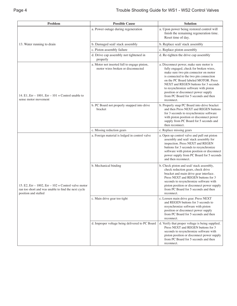| Problem                                                                                                                            | <b>Possible Cause</b>                                                              | <b>Solution</b>                                                                                                                                                                                                                                                                                                                                                                           |
|------------------------------------------------------------------------------------------------------------------------------------|------------------------------------------------------------------------------------|-------------------------------------------------------------------------------------------------------------------------------------------------------------------------------------------------------------------------------------------------------------------------------------------------------------------------------------------------------------------------------------------|
|                                                                                                                                    | a. Power outage during regeneration                                                | a. Upon power being restored control will<br>finish the remaining regeneration time.<br>Reset time of day.                                                                                                                                                                                                                                                                                |
| 13. Water running to drain                                                                                                         | b. Damaged seal/stack assembly                                                     | b. Replace seal/stack assembly                                                                                                                                                                                                                                                                                                                                                            |
|                                                                                                                                    | c. Piston assembly failure                                                         | c. Replace piston assembly                                                                                                                                                                                                                                                                                                                                                                |
|                                                                                                                                    | d. Drive cap assembly not tightened in<br>properly                                 | d. Re-tighten the drive cap assembly                                                                                                                                                                                                                                                                                                                                                      |
| 14. E1, Err – 1001, Err – 101 = Control unable to<br>sense motor movement                                                          | a. Motor not inserted full to engage pinion,<br>motor wires broken or disconnected | a. Disconnect power, make sure motor is<br>fully engaged, check for broken wires,<br>make sure two pin connector on motor<br>is connected to the two pin connection<br>on the PC Board labeled MOTOR. Press<br>NEXT and REGEN buttons for 3 seconds<br>to resynchronize software with piston<br>position or disconnect power supply<br>from PC Board for 5 seconds and then<br>reconnect. |
|                                                                                                                                    | b. PC Board not properly snapped into drive<br>bracket                             | b. Properly snap PC Board into drive bracket<br>and then Press NEXT and REGEN buttons<br>for 3 seconds to resynchronize software<br>with piston position or disconnect power<br>supply from PC Board for 5 seconds and<br>then reconnect.                                                                                                                                                 |
|                                                                                                                                    | c. Missing reduction gears                                                         | c. Replace missing gears                                                                                                                                                                                                                                                                                                                                                                  |
| 15. E2, Err – 1002, Err – 102 = Control valve motor<br>ran too short and was unable to find the next cycle<br>position and stalled | a. Foreign material is lodged in control valve                                     | a. Open up control valve and pull out piston<br>assembly and seal/ stack assembly for<br>inspection. Press NEXT and REGEN<br>buttons for 3 seconds to resynchronize<br>software with piston position or disconnect<br>power supply from PC Board for 5 seconds<br>and then reconnect.                                                                                                     |
|                                                                                                                                    | b. Mechanical binding                                                              | b. Check piston and seal/stack assembly,<br>check reduction gears, check drive<br>bracket and main drive gear interface.<br>Press NEXT and REGEN buttons for 3<br>seconds to resynchronize software with<br>piston position or disconnect power supply<br>from PC Board for 5 seconds and then<br>reconnect.                                                                              |
|                                                                                                                                    | c. Main drive gear too tight                                                       | c. Loosen main drive gear. Press NEXT<br>and REGEN buttons for 3 seconds to<br>resynchronize software with piston<br>position or disconnect power supply<br>from PC Board for 5 seconds and then<br>reconnect.                                                                                                                                                                            |
|                                                                                                                                    | d. Improper voltage being delivered to PC Board                                    | d. Verify that proper voltage is being supplied.<br>Press NEXT and REGEN buttons for 3<br>seconds to resynchronize software with<br>piston position or disconnect power supply<br>from PC Board for 5 seconds and then<br>reconnect.                                                                                                                                                      |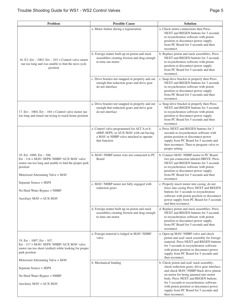| Problem                                                                                                                                                                                | <b>Possible Cause</b>                                                                                                                             | <b>Solution</b>                                                                                                                                                                                                                                                                   |
|----------------------------------------------------------------------------------------------------------------------------------------------------------------------------------------|---------------------------------------------------------------------------------------------------------------------------------------------------|-----------------------------------------------------------------------------------------------------------------------------------------------------------------------------------------------------------------------------------------------------------------------------------|
|                                                                                                                                                                                        | a. Motor failure during a regeneration                                                                                                            | a. Check motor connections then Press<br>NEXT and REGEN buttons for 3 seconds<br>to resynchronize software with piston<br>position or disconnect power supply<br>from PC Board for 5 seconds and then<br>reconnect.                                                               |
| 16. E3, Err – 1003, Err – 103 = Control valve motor<br>ran too long and was unable to find the next cycle<br>position                                                                  | b. Foreign matter built up on piston and stack<br>assemblies creating friction and drag enough<br>to time out motor                               | b. Replace piston and stack assemblies. Press<br>NEXT and REGEN buttons for 3 seconds<br>to resynchronize software with piston<br>position or disconnect power supply<br>from PC Board for 5 seconds and then<br>reconnect.                                                       |
|                                                                                                                                                                                        | c. Drive bracket not snapped in properly and out<br>enough that reduction gears and drive gear<br>do not interface                                | c. Snap drive bracket in properly then Press<br>NEXT and REGEN buttons for 3 seconds<br>to resynchronize software with piston<br>position or disconnect power supply<br>from PC Board for 5 seconds and then<br>reconnect.                                                        |
| 17. Err – 1004, Err – 104 = Control valve motor ran<br>too long and timed out trying to reach home position                                                                            | a. Drive bracket not snapped in properly and out<br>enough that reduction gears and drive gear<br>do not interface                                | a. Snap drive bracket in properly then Press<br>NEXT and REGEN buttons for 3 seconds<br>to resynchronize software with piston<br>position or disconnect power supply<br>from PC Board for 5 seconds and then<br>reconnect.                                                        |
|                                                                                                                                                                                        | a. Control valve programmed for ALT A or b,<br>nHbP, SEPS, or AUX MAV with out having<br>a MAV or NHBP valve attached to operate<br>that function | a. Press NEXT and REGEN buttons for 3<br>seconds to resynchronize software with<br>piston position or disconnect power<br>supply from PC Board for 5 seconds and<br>then reconnect. Then re-program valve to<br>proper setting                                                    |
| 18. Err - 1006, Err $-106$ ,<br>Err - $116 =$ MAV/ SEPS/ NHBP/ AUX MAV valve<br>motor ran too long and unable to find the proper park<br>position<br>Motorized Alternating Valve = MAV | b. MAV/NHBP motor wire not connected to PC<br>Board                                                                                               | b. Connect MAV/ NHBP motor to PC Board<br>two pin connection labeled DRIVE. Press<br>NEXT and REGEN buttons for 3 seconds<br>to resynchronize software with piston<br>position or disconnect power supply<br>from PC Board for 5 seconds and then<br>reconnect.                   |
| Separate Source = SEPS<br>No Hard Water Bypass $=$ NHBP<br>Auxiliary $MAV = AUX$ MAV                                                                                                   | c. MAV/ NHBP motor not fully engaged with<br>reduction gears                                                                                      | c. Properly insert motor into casing, do not<br>force into casing Press NEXT and REGEN<br>buttons for 3 seconds to resynchronize<br>software with piston position or disconnect<br>power supply from PC Board for 5 seconds<br>and then reconnect.                                |
|                                                                                                                                                                                        | d. Foreign matter built up on piston and stack<br>assemblies creating friction and drag enough<br>to time out motor                               | d. Replace piston and stack assemblies. Press<br>NEXT and REGEN buttons for 3 seconds<br>to resynchronize software with piston<br>position or disconnect power supply<br>from PC Board for 5 seconds and then<br>reconnect.                                                       |
| 19. $Err - 1007$ , $Err - 107$ ,<br>Err - 117 = MAV/ SEPS/ NHBP/ AUX MAV valve<br>motor ran too short (stalled) while looking for proper<br>park position                              | a. Foreign material is lodged in MAV/ NHBP<br>valve                                                                                               | a. Open up MAV/ NHBP valve and check<br>piston and seal/ stack assembly for foreign<br>material. Press NEXT and REGEN buttons<br>for 3 seconds to resynchronize software<br>with piston position or disconnect power<br>supply from PC Board for 5 seconds and<br>then reconnect. |
| Motorized Alternating Valve = MAV<br>Separate Source = SEPS                                                                                                                            | b. Mechanical binding                                                                                                                             | b. Check piston and seal/stack assembly,<br>check reduction gears, drive gear interface,                                                                                                                                                                                          |
| No Hard Water Bypass $=$ NHBP                                                                                                                                                          |                                                                                                                                                   | and check MAV/NHBP black drive pinion<br>on motor for being jammed into motor                                                                                                                                                                                                     |
| Auxiliary $MAV = AUX$ MAV                                                                                                                                                              |                                                                                                                                                   | body. Press NEXT and REGEN buttons<br>for 3 seconds to resynchronize software<br>with piston position or disconnect power<br>supply from PC Board for 5 seconds and<br>then reconnect.                                                                                            |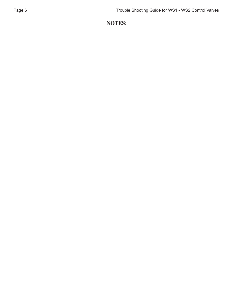## **NOTES:**